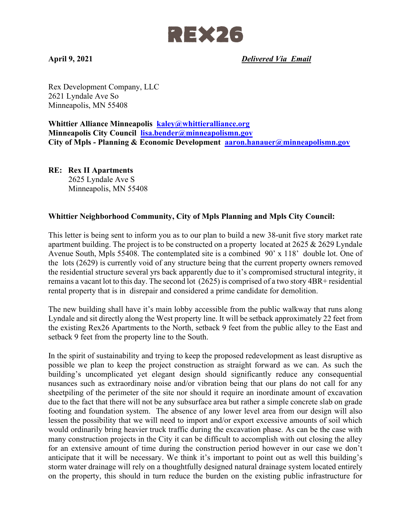

**April 9, 2021** *Delivered Via Email* 

Rex Development Company, LLC 2621 Lyndale Ave So Minneapolis, MN 55408

**Whittier Alliance Minneapolis kaley@whittieralliance.org Minneapolis City Council lisa.bender@minneapolismn.gov City of Mpls - Planning & Economic Development aaron.hanauer@minneapolismn.gov** 

**RE: Rex II Apartments**  2625 Lyndale Ave S Minneapolis, MN 55408

## **Whittier Neighborhood Community, City of Mpls Planning and Mpls City Council:**

This letter is being sent to inform you as to our plan to build a new 38-unit five story market rate apartment building. The project is to be constructed on a property located at 2625 & 2629 Lyndale Avenue South, Mpls 55408. The contemplated site is a combined 90' x 118' double lot. One of the lots (2629) is currently void of any structure being that the current property owners removed the residential structure several yrs back apparently due to it's compromised structural integrity, it remains a vacant lot to this day. The second lot (2625) is comprised of a two story 4BR+ residential rental property that is in disrepair and considered a prime candidate for demolition.

The new building shall have it's main lobby accessible from the public walkway that runs along Lyndale and sit directly along the West property line. It will be setback approximately 22 feet from the existing Rex26 Apartments to the North, setback 9 feet from the public alley to the East and setback 9 feet from the property line to the South.

In the spirit of sustainability and trying to keep the proposed redevelopment as least disruptive as possible we plan to keep the project construction as straight forward as we can. As such the building's uncomplicated yet elegant design should significantly reduce any consequential nusances such as extraordinary noise and/or vibration being that our plans do not call for any sheetpiling of the perimeter of the site nor should it require an inordinate amount of excavation due to the fact that there will not be any subsurface area but rather a simple concrete slab on grade footing and foundation system. The absence of any lower level area from our design will also lessen the possibility that we will need to import and/or export excessive amounts of soil which would ordinarily bring heavier truck traffic during the excavation phase. As can be the case with many construction projects in the City it can be difficult to accomplish with out closing the alley for an extensive amount of time during the construction period however in our case we don't anticipate that it will be necessary. We think it's important to point out as well this building's storm water drainage will rely on a thoughtfully designed natural drainage system located entirely on the property, this should in turn reduce the burden on the existing public infrastructure for